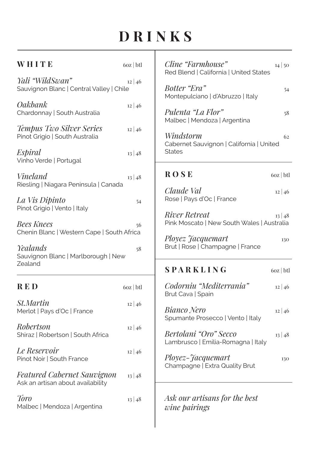## **DRINKS**

Т

| WHITE                                                                   | $60z$   btl  | Cline "Farmhouse"<br>14 50<br>Red Blend   California   United States        |
|-------------------------------------------------------------------------|--------------|-----------------------------------------------------------------------------|
| Yali "WildSwan"<br>Sauvignon Blanc   Central Valley   Chile             | $12 \mid 46$ | Botter "Era"<br>54<br>Montepulciano   d'Abruzzo   Italy                     |
| Oakbank<br>Chardonnay   South Australia                                 | $12 \mid 46$ | Pulenta "La Flor"<br>58<br>Malbec   Mendoza   Argentina                     |
| Tempus Two Silver Series<br>Pinot Grigio   South Australia              | $12 \mid 46$ | Windstorm<br>62<br>Cabernet Sauvignon   California   United                 |
| Espiral<br>Vinho Verde   Portugal                                       | 13 48        | <b>States</b>                                                               |
| Vineland<br>Riesling   Niagara Peninsula   Canada                       | 13 48        | <b>ROSE</b><br>$60z$   btl                                                  |
| La Vis Dipinto<br>Pinot Grigio   Vento   Italy                          | 54           | Claude Val<br>12 46<br>Rose   Pays d'Oc   France                            |
| <b>Bees Knees</b><br>Chenin Blanc   Western Cape   South Africa         | 56           | <b>River Retreat</b><br>13 48<br>Pink Moscato   New South Wales   Australia |
| Yealands<br>Sauvignon Blanc   Marlborough   New                         | 58           | Ployez Jacquemart<br>130<br>Brut   Rose   Champagne   France                |
| Zealand                                                                 |              | SPARKLING<br>$60z$   btl                                                    |
| <b>RED</b>                                                              | $60z$   btl  | Codorniu "Mediterrania"<br>12 46<br>Brut Cava   Spain                       |
| <i>St.Martin</i><br>Merlot   Pays d'Oc   France                         | 12 46        | Bianco Nero<br>12 46<br>Spumante Prosecco   Vento   Italy                   |
| <i>Robertson</i><br>Shiraz   Robertson   South Africa                   | 12 46        | Bertolani "Oro" Secco<br>13 48<br>Lambrusco   Emilia-Romagna   Italy        |
| Le Reservoir<br>Pinot Noir   South France                               | 12 46        | <i>Ployez-Jacquemart</i><br>130<br>Champagne   Extra Quality Brut           |
| <b>Featured Cabernet Sauvignon</b><br>Ask an artisan about availability | 13 48        |                                                                             |
| Toro<br>Malbec   Mendoza   Argentina                                    | 13 48        | Ask our artisans for the best<br>wine pairings                              |